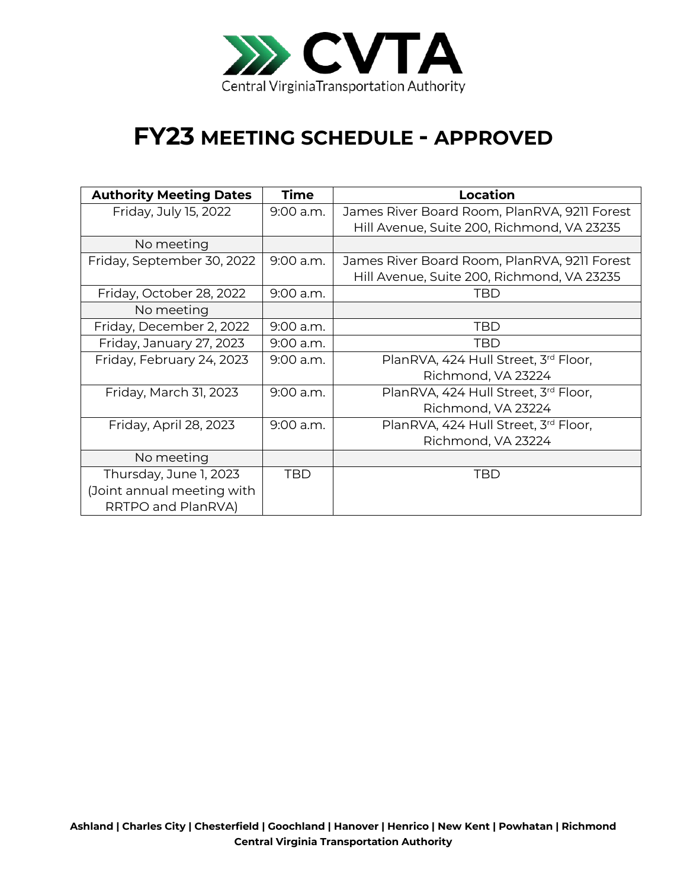

## **FY23 MEETING SCHEDULE - APPROVED**

| <b>Authority Meeting Dates</b> | <b>Time</b> | <b>Location</b>                              |
|--------------------------------|-------------|----------------------------------------------|
| Friday, July 15, 2022          | $9:00$ a.m. | James River Board Room, PlanRVA, 9211 Forest |
|                                |             | Hill Avenue, Suite 200, Richmond, VA 23235   |
| No meeting                     |             |                                              |
| Friday, September 30, 2022     | 9:00 a.m.   | James River Board Room, PlanRVA, 9211 Forest |
|                                |             | Hill Avenue, Suite 200, Richmond, VA 23235   |
| Friday, October 28, 2022       | 9:00 a.m.   | TBD                                          |
| No meeting                     |             |                                              |
| Friday, December 2, 2022       | 9:00 a.m.   | <b>TBD</b>                                   |
| Friday, January 27, 2023       | $9:00$ a.m. | TBD                                          |
| Friday, February 24, 2023      | $9:00$ a.m. | PlanRVA, 424 Hull Street, 3rd Floor,         |
|                                |             | Richmond, VA 23224                           |
| Friday, March 31, 2023         | 9:00 a.m.   | PlanRVA, 424 Hull Street, 3rd Floor,         |
|                                |             | Richmond, VA 23224                           |
| Friday, April 28, 2023         | 9:00 a.m.   | PlanRVA, 424 Hull Street, 3rd Floor,         |
|                                |             | Richmond, VA 23224                           |
| No meeting                     |             |                                              |
| Thursday, June 1, 2023         | TBD         | TBD                                          |
| (Joint annual meeting with     |             |                                              |
| RRTPO and PlanRVA)             |             |                                              |